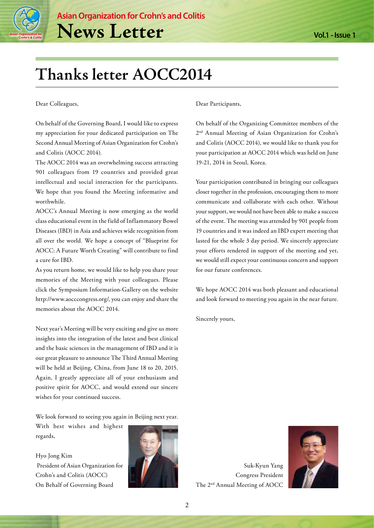

# **Thanks letter AOCC2014**

Dear Colleagues,

On behalf of the Governing Board, I would like to express my appreciation for your dedicated participation on The Second Annual Meeting of Asian Organization for Crohn's and Colitis (AOCC 2014).

The AOCC 2014 was an overwhelming success attracting 901 colleagues from 19 countries and provided great intellectual and social interaction for the participants. We hope that you found the Meeting informative and worthwhile.

AOCC's Annual Meeting is now emerging as the world class educational event in the field of Inflammatory Bowel Diseases (IBD) in Asia and achieves wide recognition from all over the world. We hope a concept of "Blueprint for AOCC: A Future Worth Creating" will contribute to find a cure for IBD.

As you return home, we would like to help you share your memories of the Meeting with your colleagues. Please click the Symposium Information-Gallery on the website http://www.aocccongress.org/, you can enjoy and share the memories about the AOCC 2014.

Next year's Meeting will be very exciting and give us more insights into the integration of the latest and best clinical and the basic sciences in the management of IBD and it is our great pleasure to announce The Third Annual Meeting will be held at Beijing, China, from June 18 to 20, 2015. Again, I greatly appreciate all of your enthusiasm and positive spirit for AOCC, and would extend our sincere wishes for your continued success.

We look forward to seeing you again in Beijing next year.

With best wishes and highest regards,

Hyo Jong Kim President of Asian Organization for Crohn's and Colitis (AOCC) On Behalf of Governing Board



Dear Participants,

On behalf of the Organizing Committee members of the 2nd Annual Meeting of Asian Organization for Crohn's and Colitis (AOCC 2014), we would like to thank you for your participation at AOCC 2014 which was held on June 19-21, 2014 in Seoul, Korea.

Your participation contributed in bringing our colleagues closer together in the profession, encouraging them to more communicate and collaborate with each other. Without your support, we would not have been able to make a success of the event. The meeting was attended by 901 people from 19 countries and it was indeed an IBD expert meeting that lasted for the whole 3 day period. We sincerely appreciate your efforts rendered in support of the meeting and yet, we would still expect your continuous concern and support for our future conferences.

We hope AOCC 2014 was both pleasant and educational and look forward to meeting you again in the near future.

Sincerely yours,

Suk-Kyun Yang Congress President The 2nd Annual Meeting of AOCC

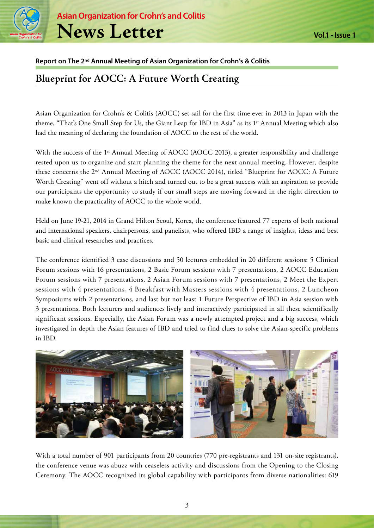

**Asian Organization for Crohn's and Colitis News Letter**

### **Report on The 2nd Annual Meeting of Asian Organization for Crohn's & Colitis**

### **Blueprint for AOCC: A Future Worth Creating**

Asian Organization for Crohn's & Colitis (AOCC) set sail for the first time ever in 2013 in Japan with the theme, "That's One Small Step for Us, the Giant Leap for IBD in Asia" as its 1<sup>st</sup> Annual Meeting which also had the meaning of declaring the foundation of AOCC to the rest of the world.

With the success of the 1<sup>st</sup> Annual Meeting of AOCC (AOCC 2013), a greater responsibility and challenge rested upon us to organize and start planning the theme for the next annual meeting. However, despite these concerns the 2nd Annual Meeting of AOCC (AOCC 2014), titled "Blueprint for AOCC: A Future Worth Creating" went off without a hitch and turned out to be a great success with an aspiration to provide our participants the opportunity to study if our small steps are moving forward in the right direction to make known the practicality of AOCC to the whole world.

Held on June 19-21, 2014 in Grand Hilton Seoul, Korea, the conference featured 77 experts of both national and international speakers, chairpersons, and panelists, who offered IBD a range of insights, ideas and best basic and clinical researches and practices.

The conference identified 3 case discussions and 50 lectures embedded in 20 different sessions: 5 Clinical Forum sessions with 16 presentations, 2 Basic Forum sessions with 7 presentations, 2 AOCC Education Forum sessions with 7 presentations, 2 Asian Forum sessions with 7 presentations, 2 Meet the Expert sessions with 4 presentations, 4 Breakfast with Masters sessions with 4 presentations, 2 Luncheon Symposiums with 2 presentations, and last but not least 1 Future Perspective of IBD in Asia session with 3 presentations. Both lecturers and audiences lively and interactively participated in all these scientifically significant sessions. Especially, the Asian Forum was a newly attempted project and a big success, which investigated in depth the Asian features of IBD and tried to find clues to solve the Asian-specific problems in IBD.



With a total number of 901 participants from 20 countries (770 pre-registrants and 131 on-site registrants), the conference venue was abuzz with ceaseless activity and discussions from the Opening to the Closing Ceremony. The AOCC recognized its global capability with participants from diverse nationalities: 619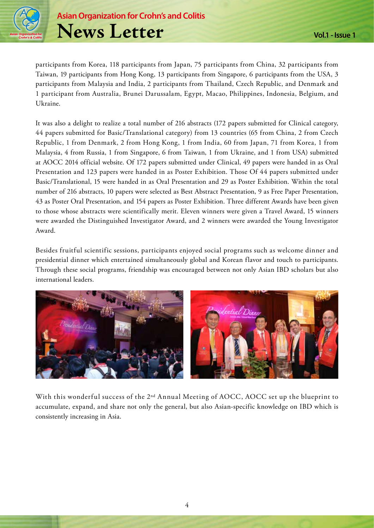

participants from Korea, 118 participants from Japan, 75 participants from China, 32 participants from Taiwan, 19 participants from Hong Kong, 13 participants from Singapore, 6 participants from the USA, 3 participants from Malaysia and India, 2 participants from Thailand, Czech Republic, and Denmark and 1 participant from Australia, Brunei Darussalam, Egypt, Macao, Philippines, Indonesia, Belgium, and Ukraine.

It was also a delight to realize a total number of 216 abstracts (172 papers submitted for Clinical category, 44 papers submitted for Basic/Translational category) from 13 countries (65 from China, 2 from Czech Republic, 1 from Denmark, 2 from Hong Kong, 1 from India, 60 from Japan, 71 from Korea, 1 from Malaysia, 4 from Russia, 1 from Singapore, 6 from Taiwan, 1 from Ukraine, and 1 from USA) submitted at AOCC 2014 official website. Of 172 papers submitted under Clinical, 49 papers were handed in as Oral Presentation and 123 papers were handed in as Poster Exhibition. Those Of 44 papers submitted under Basic/Translational, 15 were handed in as Oral Presentation and 29 as Poster Exhibition. Within the total number of 216 abstracts, 10 papers were selected as Best Abstract Presentation, 9 as Free Paper Presentation, 43 as Poster Oral Presentation, and 154 papers as Poster Exhibition. Three different Awards have been given to those whose abstracts were scientifically merit. Eleven winners were given a Travel Award, 15 winners were awarded the Distinguished Investigator Award, and 2 winners were awarded the Young Investigator Award.

Besides fruitful scientific sessions, participants enjoyed social programs such as welcome dinner and presidential dinner which entertained simultaneously global and Korean flavor and touch to participants. Through these social programs, friendship was encouraged between not only Asian IBD scholars but also international leaders.



With this wonderful success of the 2<sup>nd</sup> Annual Meeting of AOCC, AOCC set up the blueprint to accumulate, expand, and share not only the general, but also Asian-specific knowledge on IBD which is consistently increasing in Asia.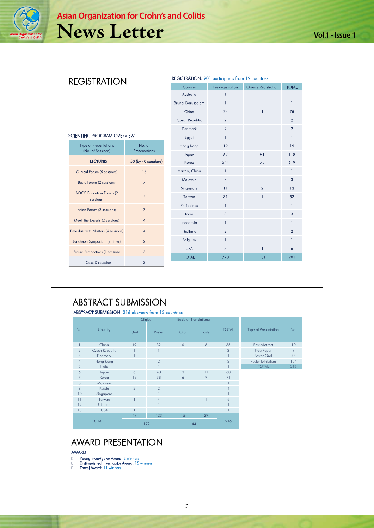

| <b>REGISTRATION</b>                 |                          | Country        | Pre-registration | On-site Registration | <b>TOTAL</b>   |
|-------------------------------------|--------------------------|----------------|------------------|----------------------|----------------|
|                                     | Australia                |                |                  | 1                    |                |
|                                     | <b>Brunei Darussalam</b> |                |                  | 1                    |                |
|                                     | China                    | 74             |                  | 75                   |                |
|                                     | Czech Republic           | $\overline{2}$ |                  | $\overline{2}$       |                |
|                                     | Denmark                  | $\overline{2}$ |                  | $\overline{2}$       |                |
| SCIENTIFIC PROGRAM OVERVIEW         | Egypt                    | $\mathbf{1}$   |                  | 1                    |                |
| Type of Presentations               | No. of                   | Hong Kong      | 19               |                      | 19             |
| (No. of Sessions)                   | Presentations            | Japan          | 67               | 51                   | 118            |
| <b>LECTURES</b>                     | 50 (by 40 speakers)      | Korea          | 544              | 75                   | 619            |
| Clinical Forum (5 sessions)         | 16                       | Macao, China   | $\mathbf{1}$     |                      | 1              |
| Basic Forum (2 sessions)            | 7 <sup>2</sup>           | Malaysia       | 3                |                      | 3              |
| AOCC Education Forum (2             | $\overline{7}$           | Singapore      | 11               | $\overline{2}$       | 13             |
| sessions)                           |                          | Taiwan         | 31               |                      | 32             |
| Asian Forum (2 sessions)            | $\overline{7}$           | Philippines    |                  |                      | 1              |
|                                     |                          | India          | 3                |                      | 3              |
| Meet the Experts (2 sessions)       | $\overline{4}$           | Indonesia      | $\mathbf{1}$     |                      | 1              |
| Breakfast with Masters (4 sessions) | $\overline{4}$           | Thailand       | $\overline{2}$   |                      | $\overline{2}$ |
| Luncheon Symposium (2 times)        | $\overline{2}$           | Belgium        |                  |                      |                |
| Future Perspectives (1 session)     | 3                        | <b>USA</b>     | 5                | 1                    | 6              |
| Case Discussion                     | 3                        | <b>TOTAL</b>   | 770              | 131                  | 901            |

|                |                | Clinical       |                | <b>Basic or Translational</b> |        |                |                      |     |
|----------------|----------------|----------------|----------------|-------------------------------|--------|----------------|----------------------|-----|
| No.            | Country        | Oral           | Poster         | O <sub>rd</sub>               | Poster | <b>TOTAL</b>   | Type of Presentation | No. |
| 1              | China          | 19             | 32             | 6                             | 8      | 65             | <b>Best Abstract</b> | 10  |
| $\overline{2}$ | Czech Republic |                |                |                               |        | $\overline{2}$ | Free Paper           | 9   |
| 3              | Denmark        |                |                |                               |        |                | Poster Oral          | 43  |
| $\overline{4}$ | Hong Kong      |                | $\overline{2}$ |                               |        | $\overline{2}$ | Poster Exhibition    | 154 |
| 5              | India          |                | $\mathbf{1}$   |                               |        |                | <b>TOTAL</b>         | 216 |
| 6              | Japan          | 6              | 40             | 3                             | 11     | 60             |                      |     |
| $\overline{7}$ | Korea          | 18             | 38             | 6                             | 9      | 71             |                      |     |
| 8              | Malaysia       |                |                |                               |        |                |                      |     |
| 9              | Russia         | $\mathfrak{D}$ | $\overline{2}$ |                               |        | $\overline{4}$ |                      |     |
| 10             | Singapore      |                |                |                               |        |                |                      |     |
| 11             | Taiwan         |                | $\overline{4}$ |                               |        | 6              |                      |     |
| 12             | Ukraine        |                | $\mathbf{1}$   |                               |        |                |                      |     |
| 13             | <b>USA</b>     |                |                |                               |        |                |                      |     |
|                |                | 49             | 123            | 15                            | 29     |                |                      |     |
|                | <b>TOTAL</b>   |                | 172            | 44                            |        | 216            |                      |     |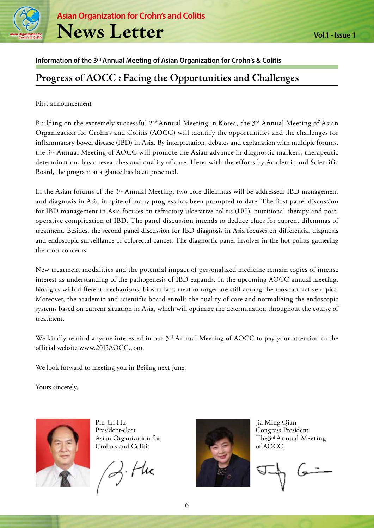

**Asian Organization for Crohn's and Colitis News Letter**

### **Information of the 3rd Annual Meeting of Asian Organization for Crohn's & Colitis**

### **Progress of AOCC : Facing the Opportunities and Challenges**

#### First announcement

Building on the extremely successful 2nd Annual Meeting in Korea, the 3rd Annual Meeting of Asian Organization for Crohn's and Colitis (AOCC) will identify the opportunities and the challenges for inflammatory bowel disease (IBD) in Asia. By interpretation, debates and explanation with multiple forums, the 3rd Annual Meeting of AOCC will promote the Asian advance in diagnostic markers, therapeutic determination, basic researches and quality of care. Here, with the efforts by Academic and Scientific Board, the program at a glance has been presented.

In the Asian forums of the 3rd Annual Meeting, two core dilemmas will be addressed: IBD management and diagnosis in Asia in spite of many progress has been prompted to date. The first panel discussion for IBD management in Asia focuses on refractory ulcerative colitis (UC), nutritional therapy and postoperative complication of IBD. The panel discussion intends to deduce clues for current dilemmas of treatment. Besides, the second panel discussion for IBD diagnosis in Asia focuses on differential diagnosis and endoscopic surveillance of colorectal cancer. The diagnostic panel involves in the hot points gathering the most concerns.

New treatment modalities and the potential impact of personalized medicine remain topics of intense interest as understanding of the pathogenesis of IBD expands. In the upcoming AOCC annual meeting, biologics with different mechanisms, biosimilars, treat-to-target are still among the most attractive topics. Moreover, the academic and scientific board enrolls the quality of care and normalizing the endoscopic systems based on current situation in Asia, which will optimize the determination throughout the course of treatment.

We kindly remind anyone interested in our 3<sup>rd</sup> Annual Meeting of AOCC to pay your attention to the official website www.2015AOCC.com.

We look forward to meeting you in Beijing next June.

Yours sincerely,



Pin Jin Hu President-elect Asian Organization for Crohn's and Colitis

Z. Hu



Jia Ming Qian Congress President The3rd Annual Meeting of AOCC